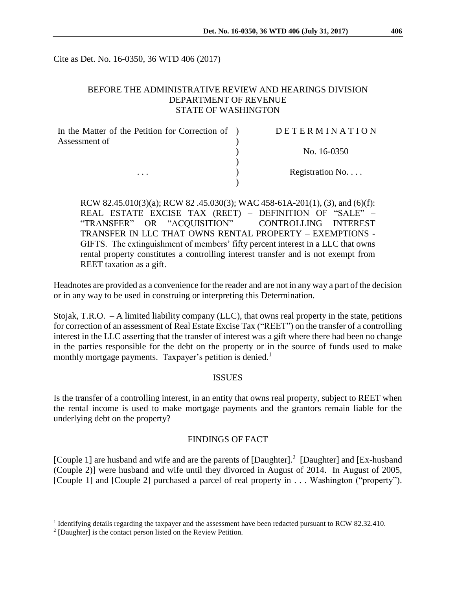Cite as Det. No. 16-0350, 36 WTD 406 (2017)

## BEFORE THE ADMINISTRATIVE REVIEW AND HEARINGS DIVISION DEPARTMENT OF REVENUE STATE OF WASHINGTON

| In the Matter of the Petition for Correction of ) | DETERMINATION   |
|---------------------------------------------------|-----------------|
| Assessment of                                     |                 |
|                                                   | No. 16-0350     |
|                                                   |                 |
| $\cdots$                                          | Registration No |
|                                                   |                 |

RCW 82.45.010(3)(a); RCW 82 .45.030(3); WAC 458-61A-201(1), (3), and (6)(f): REAL ESTATE EXCISE TAX (REET) – DEFINITION OF "SALE" – "TRANSFER" OR "ACQUISITION" – CONTROLLING INTEREST TRANSFER IN LLC THAT OWNS RENTAL PROPERTY – EXEMPTIONS - GIFTS. The extinguishment of members' fifty percent interest in a LLC that owns rental property constitutes a controlling interest transfer and is not exempt from REET taxation as a gift.

Headnotes are provided as a convenience for the reader and are not in any way a part of the decision or in any way to be used in construing or interpreting this Determination.

Stojak, T.R.O. – A limited liability company (LLC), that owns real property in the state, petitions for correction of an assessment of Real Estate Excise Tax ("REET") on the transfer of a controlling interest in the LLC asserting that the transfer of interest was a gift where there had been no change in the parties responsible for the debt on the property or in the source of funds used to make monthly mortgage payments. Taxpayer's petition is denied.<sup>1</sup>

#### ISSUES

Is the transfer of a controlling interest, in an entity that owns real property, subject to REET when the rental income is used to make mortgage payments and the grantors remain liable for the underlying debt on the property?

### FINDINGS OF FACT

[Couple 1] are husband and wife and are the parents of [Daughter].<sup>2</sup> [Daughter] and [Ex-husband (Couple 2)] were husband and wife until they divorced in August of 2014. In August of 2005, [Couple 1] and [Couple 2] purchased a parcel of real property in . . . Washington ("property").

 $\overline{a}$ 

<sup>&</sup>lt;sup>1</sup> Identifying details regarding the taxpayer and the assessment have been redacted pursuant to RCW 82.32.410.

<sup>2</sup> [Daughter] is the contact person listed on the Review Petition.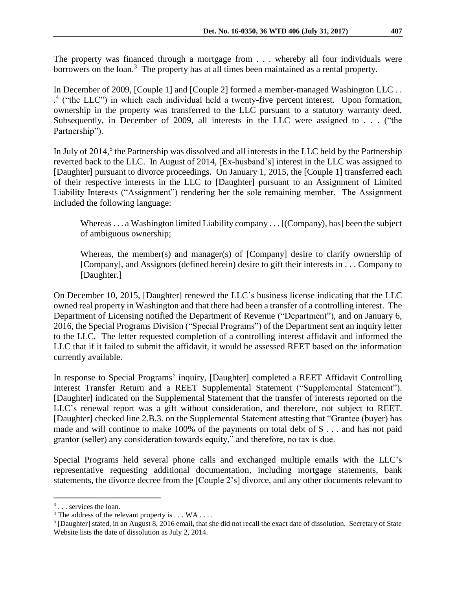The property was financed through a mortgage from . . . whereby all four individuals were borrowers on the loan.<sup>3</sup> The property has at all times been maintained as a rental property.

In December of 2009, [Couple 1] and [Couple 2] formed a member-managed Washington LLC . . . 4 ("the LLC") in which each individual held a twenty-five percent interest. Upon formation, ownership in the property was transferred to the LLC pursuant to a statutory warranty deed. Subsequently, in December of 2009, all interests in the LLC were assigned to . . . ("the Partnership").

In July of 2014,<sup>5</sup> the Partnership was dissolved and all interests in the LLC held by the Partnership reverted back to the LLC. In August of 2014, [Ex-husband's] interest in the LLC was assigned to [Daughter] pursuant to divorce proceedings. On January 1, 2015, the [Couple 1] transferred each of their respective interests in the LLC to [Daughter] pursuant to an Assignment of Limited Liability Interests ("Assignment") rendering her the sole remaining member. The Assignment included the following language:

Whereas . . . a Washington limited Liability company . . . [(Company), has] been the subject of ambiguous ownership;

Whereas, the member(s) and manager(s) of [Company] desire to clarify ownership of [Company], and Assignors (defined herein) desire to gift their interests in . . . Company to [Daughter.]

On December 10, 2015, [Daughter] renewed the LLC's business license indicating that the LLC owned real property in Washington and that there had been a transfer of a controlling interest. The Department of Licensing notified the Department of Revenue ("Department"), and on January 6, 2016, the Special Programs Division ("Special Programs") of the Department sent an inquiry letter to the LLC. The letter requested completion of a controlling interest affidavit and informed the LLC that if it failed to submit the affidavit, it would be assessed REET based on the information currently available.

In response to Special Programs' inquiry, [Daughter] completed a REET Affidavit Controlling Interest Transfer Return and a REET Supplemental Statement ("Supplemental Statement"). [Daughter] indicated on the Supplemental Statement that the transfer of interests reported on the LLC's renewal report was a gift without consideration, and therefore, not subject to REET. [Daughter] checked line 2.B.3. on the Supplemental Statement attesting that "Grantee (buyer) has made and will continue to make 100% of the payments on total debt of \$ . . . and has not paid grantor (seller) any consideration towards equity," and therefore, no tax is due.

Special Programs held several phone calls and exchanged multiple emails with the LLC's representative requesting additional documentation, including mortgage statements, bank statements, the divorce decree from the [Couple 2's] divorce, and any other documents relevant to

 $\overline{a}$ 

<sup>&</sup>lt;sup>3</sup>... services the loan.

 $4$  The address of the relevant property is . . . WA . . . .

 $<sup>5</sup>$  [Daughter] stated, in an August 8, 2016 email, that she did not recall the exact date of dissolution. Secretary of State</sup> Website lists the date of dissolution as July 2, 2014.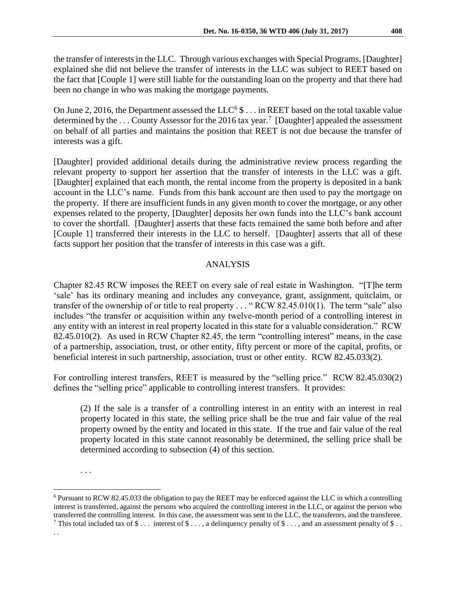the transfer of interests in the LLC. Through various exchanges with Special Programs, [Daughter] explained she did not believe the transfer of interests in the LLC was subject to REET based on the fact that [Couple 1] were still liable for the outstanding loan on the property and that there had been no change in who was making the mortgage payments.

On June 2, 2016, the Department assessed the  $LLC<sup>6</sup>$  \$ . . . in REET based on the total taxable value determined by the ... County Assessor for the 2016 tax year.<sup>7</sup> [Daughter] appealed the assessment on behalf of all parties and maintains the position that REET is not due because the transfer of interests was a gift.

[Daughter] provided additional details during the administrative review process regarding the relevant property to support her assertion that the transfer of interests in the LLC was a gift. [Daughter] explained that each month, the rental income from the property is deposited in a bank account in the LLC's name. Funds from this bank account are then used to pay the mortgage on the property. If there are insufficient funds in any given month to cover the mortgage, or any other expenses related to the property, [Daughter] deposits her own funds into the LLC's bank account to cover the shortfall. [Daughter] asserts that these facts remained the same both before and after [Couple 1] transferred their interests in the LLC to herself. [Daughter] asserts that all of these facts support her position that the transfer of interests in this case was a gift.

## ANALYSIS

Chapter 82.45 RCW imposes the REET on every sale of real estate in Washington. "[T]he term 'sale' has its ordinary meaning and includes any conveyance, grant, assignment, quitclaim, or transfer of the ownership of or title to real property . . . " RCW 82.45.010(1). The term "sale" also includes "the transfer or acquisition within any twelve-month period of a controlling interest in any entity with an interest in real property located in this state for a valuable consideration." RCW 82.45.010(2). As used in RCW Chapter 82.45, the term "controlling interest" means, in the case of a partnership, association, trust, or other entity, fifty percent or more of the capital, profits, or beneficial interest in such partnership, association, trust or other entity. RCW 82.45.033(2).

For controlling interest transfers, REET is measured by the "selling price." RCW 82.45.030(2) defines the "selling price" applicable to controlling interest transfers. It provides:

(2) If the sale is a transfer of a controlling interest in an entity with an interest in real property located in this state, the selling price shall be the true and fair value of the real property owned by the entity and located in this state. If the true and fair value of the real property located in this state cannot reasonably be determined, the selling price shall be determined according to subsection (4) of this section.

 $\overline{a}$ 

<sup>. . .</sup>

<sup>6</sup> Pursuant to RCW 82.45.033 the obligation to pay the REET may be enforced against the LLC in which a controlling interest is transferred, against the persons who acquired the controlling interest in the LLC, or against the person who transferred the controlling interest. In this case, the assessment was sent to the LLC, the transferors, and the transferee. <sup>7</sup> This total included tax of  $\$\dots$  interest of  $\$\dots$ , a delinquency penalty of  $\$\dots$ , and an assessment penalty of  $\$\dots$ 

<sup>. .</sup>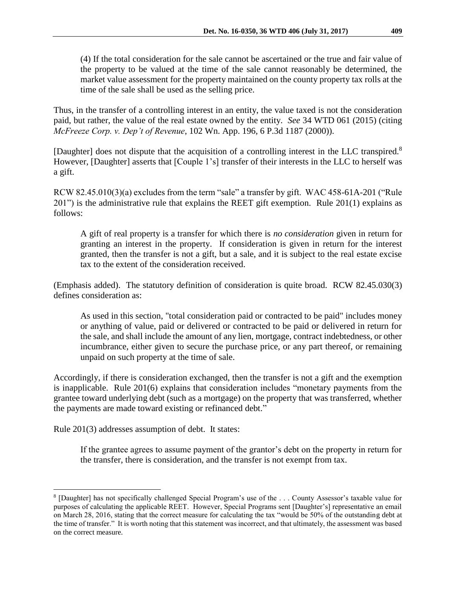(4) If the total consideration for the sale cannot be ascertained or the true and fair value of the property to be valued at the time of the sale cannot reasonably be determined, the market value assessment for the property maintained on the county property tax rolls at the time of the sale shall be used as the selling price.

Thus, in the transfer of a controlling interest in an entity, the value taxed is not the consideration paid, but rather, the value of the real estate owned by the entity. *See* 34 WTD 061 (2015) (citing *McFreeze Corp. v. Dep't of Revenue*, 102 Wn. App. 196, 6 P.3d 1187 (2000)).

[Daughter] does not dispute that the acquisition of a controlling interest in the LLC transpired.<sup>8</sup> However, [Daughter] asserts that [Couple 1's] transfer of their interests in the LLC to herself was a gift.

RCW 82.45.010(3)(a) excludes from the term "sale" a transfer by gift. WAC 458-61A-201 ("Rule 201") is the administrative rule that explains the REET gift exemption. Rule 201(1) explains as follows:

A gift of real property is a transfer for which there is *no consideration* given in return for granting an interest in the property. If consideration is given in return for the interest granted, then the transfer is not a gift, but a sale, and it is subject to the real estate excise tax to the extent of the consideration received.

(Emphasis added). The statutory definition of consideration is quite broad. RCW 82.45.030(3) defines consideration as:

As used in this section, "total consideration paid or contracted to be paid" includes money or anything of value, paid or delivered or contracted to be paid or delivered in return for the sale, and shall include the amount of any lien, mortgage, contract indebtedness, or other incumbrance, either given to secure the purchase price, or any part thereof, or remaining unpaid on such property at the time of sale.

Accordingly, if there is consideration exchanged, then the transfer is not a gift and the exemption is inapplicable. Rule 201(6) explains that consideration includes "monetary payments from the grantee toward underlying debt (such as a mortgage) on the property that was transferred, whether the payments are made toward existing or refinanced debt."

Rule 201(3) addresses assumption of debt. It states:

 $\overline{a}$ 

If the grantee agrees to assume payment of the grantor's debt on the property in return for the transfer, there is consideration, and the transfer is not exempt from tax.

<sup>8</sup> [Daughter] has not specifically challenged Special Program's use of the . . . County Assessor's taxable value for purposes of calculating the applicable REET. However, Special Programs sent [Daughter's] representative an email on March 28, 2016, stating that the correct measure for calculating the tax "would be 50% of the outstanding debt at the time of transfer." It is worth noting that this statement was incorrect, and that ultimately, the assessment was based on the correct measure.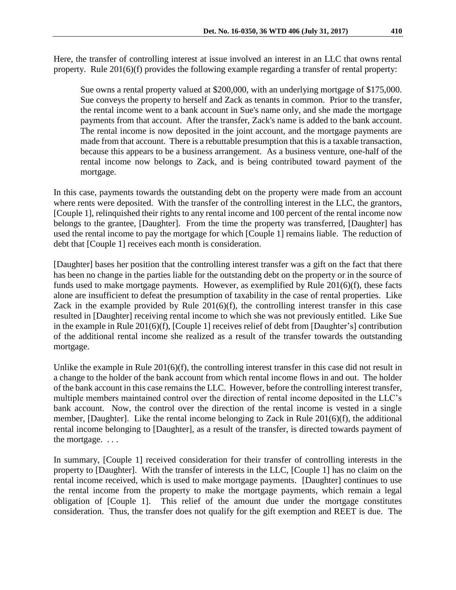Here, the transfer of controlling interest at issue involved an interest in an LLC that owns rental property. Rule 201(6)(f) provides the following example regarding a transfer of rental property:

Sue owns a rental property valued at \$200,000, with an underlying mortgage of \$175,000. Sue conveys the property to herself and Zack as tenants in common. Prior to the transfer, the rental income went to a bank account in Sue's name only, and she made the mortgage payments from that account. After the transfer, Zack's name is added to the bank account. The rental income is now deposited in the joint account, and the mortgage payments are made from that account. There is a rebuttable presumption that this is a taxable transaction, because this appears to be a business arrangement. As a business venture, one-half of the rental income now belongs to Zack, and is being contributed toward payment of the mortgage.

In this case, payments towards the outstanding debt on the property were made from an account where rents were deposited. With the transfer of the controlling interest in the LLC, the grantors, [Couple 1], relinquished their rights to any rental income and 100 percent of the rental income now belongs to the grantee, [Daughter]. From the time the property was transferred, [Daughter] has used the rental income to pay the mortgage for which [Couple 1] remains liable. The reduction of debt that [Couple 1] receives each month is consideration.

[Daughter] bases her position that the controlling interest transfer was a gift on the fact that there has been no change in the parties liable for the outstanding debt on the property or in the source of funds used to make mortgage payments. However, as exemplified by Rule 201(6)(f), these facts alone are insufficient to defeat the presumption of taxability in the case of rental properties. Like Zack in the example provided by Rule 201(6)(f), the controlling interest transfer in this case resulted in [Daughter] receiving rental income to which she was not previously entitled. Like Sue in the example in Rule 201(6)(f), [Couple 1] receives relief of debt from [Daughter's] contribution of the additional rental income she realized as a result of the transfer towards the outstanding mortgage.

Unlike the example in Rule 201(6)(f), the controlling interest transfer in this case did not result in a change to the holder of the bank account from which rental income flows in and out. The holder of the bank account in this case remains the LLC. However, before the controlling interest transfer, multiple members maintained control over the direction of rental income deposited in the LLC's bank account. Now, the control over the direction of the rental income is vested in a single member, [Daughter]. Like the rental income belonging to Zack in Rule  $201(6)(f)$ , the additional rental income belonging to [Daughter], as a result of the transfer, is directed towards payment of the mortgage. . . .

In summary, [Couple 1] received consideration for their transfer of controlling interests in the property to [Daughter]. With the transfer of interests in the LLC, [Couple 1] has no claim on the rental income received, which is used to make mortgage payments. [Daughter] continues to use the rental income from the property to make the mortgage payments, which remain a legal obligation of [Couple 1]. This relief of the amount due under the mortgage constitutes consideration. Thus, the transfer does not qualify for the gift exemption and REET is due. The